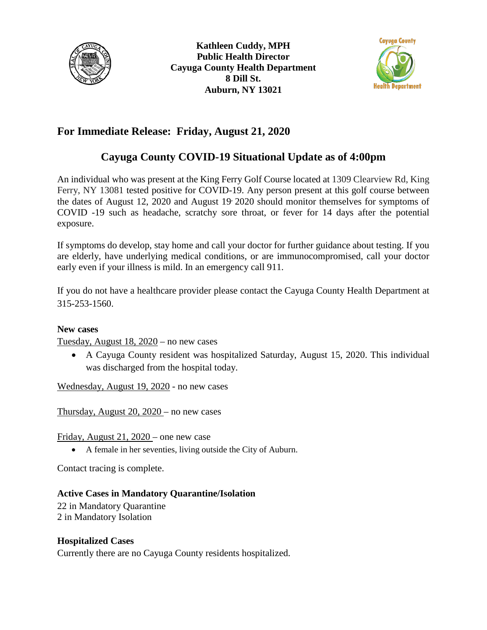



## **For Immediate Release: Friday, August 21, 2020**

# **Cayuga County COVID-19 Situational Update as of 4:00pm**

An individual who was present at the King Ferry Golf Course located at 1309 Clearview Rd, King Ferry, NY 13081 tested positive for COVID-19. Any person present at this golf course between the dates of August 12, 2020 and August 19, 2020 should monitor themselves for symptoms of COVID -19 such as headache, scratchy sore throat, or fever for 14 days after the potential exposure.

If symptoms do develop, stay home and call your doctor for further guidance about testing. If you are elderly, have underlying medical conditions, or are immunocompromised, call your doctor early even if your illness is mild. In an emergency call 911.

If you do not have a healthcare provider please contact the Cayuga County Health Department at 315-253-1560.

#### **New cases**

Tuesday, August 18, 2020 – no new cases

• A Cayuga County resident was hospitalized Saturday, August 15, 2020. This individual was discharged from the hospital today.

Wednesday, August 19, 2020 - no new cases

Thursday, August 20, 2020 – no new cases

Friday, August 21, 2020 – one new case

• A female in her seventies, living outside the City of Auburn.

Contact tracing is complete.

## **Active Cases in Mandatory Quarantine/Isolation**

22 in Mandatory Quarantine 2 in Mandatory Isolation

#### **Hospitalized Cases**

Currently there are no Cayuga County residents hospitalized.